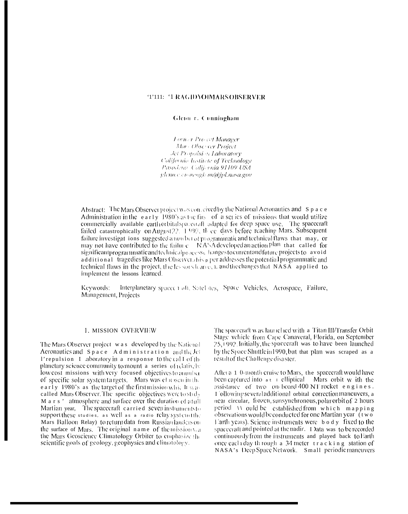## '1'111: '1 RAGIDYOIMARSOBSERVER

Glenn r. Cunningham

Lorner Procet Manager Mary Observer Project Jet Propalsion Laboratory California Institute of Technology Pasodeno California 91109 USA glenn.c.cv-nengh un(a)jpl.nasa.gov

Abstract: The Mars Observer project was conceived by the National Aeronautics and S p a c e Administration in the early 1980's as the firs of a series of missions that would utilize commercially available carthorbital spacecraft adapted for deep space use. The spacecraft failed catastrophically on August  $22.1993$ , there days before reaching Mars. Subsequent failure investigat ions suggested a non bet of programmatic and technical flaws that may, or may not have contributed to the failure NASA developed an action plan that called for significantprogrammatic and technical process, hanges to current and future projects to avoid additional tragedies like Mars Observenthis p per addresses the potential programmatic and technical flaws in the project, the lessors learned and the changes that NASA applied to implement the lessons learned.

Keywords: Interplanetary space(1 aft, Satel ites, Space Vehicles, Acrospace, Failure, Management, Projects

## 1. MISSION OVERVIEW

The Mars Observer project was developed by the National Aeronautics and Space Administration and the let l'repulsion I aboratory in a response to the cal I of the planetary science community to mount a series of relatively low cost missions with very focused objectives to animber of specific solar system targets. Mars was chosen in the early 1980's as the target of the first mission which  $\Gamma_{\rm V, 35}$ called Mars Observer. The specific objectives were to study M a r s ' atmosphere and surface over the duration of a full Martian year, The spacecraft carried seven instruments to support these studies, as well as a radio relay system tthe Mars Balloon Relay) to return data from Russian landers on the surface of Mars. The original name of the mission van the Mars Geoscience Climatology Orbiter to emphasize the scientific goals of geology, geophysics and climatology.

The spacecraft was launched with a Titan III/Transfer Orbit Stage vehicle from Cape Canaveral, Florida, on September 25,1992. Initially, the spacecraft was to have been launched by the Space Shuttle in 1990, but that plan was scraped as a result of the Challenge disaster.

After a 1 0-month cruise to Mars, the spacecraft would have been captured into  $a_{t+1}$  elliptical Mars orbit w ith the assistance of two on-board 400 NT rocket engines. I ollowing several additional orbital correction maneuvers, a near circular, frozen, sunsynchronous, polar orbit of 2 hours period W ould be established from which mapping observations would be conducted for one Martian year (two Flarth years). Science instruments were body fixed to the spacecraft and pointed at the nadir. I Data was to be recorded continuously from the instruments and played back to Earth once each day through a 34 meter tracking station of NASA's Deep Space Network Small periodic maneuvers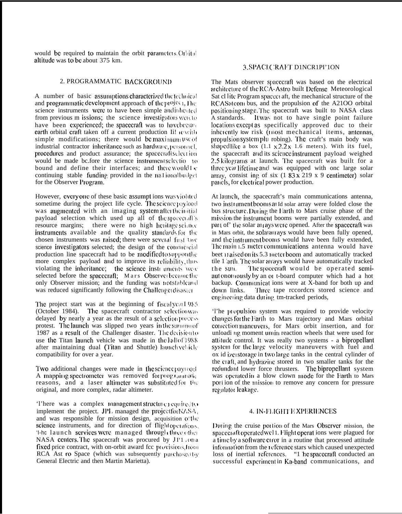would be required to maintain the orbit parameters. Orbital altitude was to be about 375 km.

# 2. PROGRAMMATIC BACKGROUND

A number of basic assumptions characterized the technical and programmatic development approach of the project, The science instruments were to have been simple andiohented from previous m issions; the science investigators were to have been experienced; the spacecraft was to havebeen and earth orbital craft taken off a current production Ii! reveith simple modifications; there would be maximum use of industrial contractor inheritance such as hardware, personnel, procedures and product assurance; the spacecraftsclection would be made bc.fore the science instrument selectio to bound and define their interfaces; and there would I continuing stable funding provided in the naTional budget for the Observer Program.

However, every one of these basic assumpt ions was violated sometime during the project life cycle. The science payload was augmented with an imaging system after the initial payload selection which used up all of the spacecraft's resource margins; there were no high heritagescience instruments available and the quality standards for the chosen instruments was raised; there were several first tine science investigators selected; the design of the commercial production line spacecraft had to be modified to support the more complex payload and to improve its reliability, thus violating the inheritance; the science instruments were selected before the spacecraft: Mars Observer became the only Observer mission; and the funding was notstable and was reduced significantly following the Challengerdisaster

The project start was at the beginning of fiscalyeal 985 (October 1984). The spacecraft contractor selectionwas delayed by nearly a year as the result of a selection process protest. The launch was slipped two years in the summon 1987 as a result of the Challenger disaster. The decision to use the Titan launch vehicle was made in the Fallof 1988 after maintaining dual (Titan and Shuttle) launch vehicle compatibility for over a year.

Two additional changes were made in the science paymach A mapping spectrometer was removed for programmatic reasons, and a laser altimeter was substituted for the original, and more complex, radar altimeter.

There was a complex management structure required to implement the project. JPL managed the projectfor  $NASA$ , and was responsible for mission design, acquisition of the science instruments, and for direction of flightoperations. 'l-he launch services were managed through three other NASA centers. The spacecraft was procured by JI'1 on a fixed price contract, with on-orbit award fcc provisions, hom-RCA Ast ro Space (which was subsequently purchased by General Electric and then Martin Marietta).

## 3. SPACI CRAFT DINCR1PI'1ON

The Mats observer spacecraft was based on the electrical architecture of the RCA-Astro built Defense Meteorological Sat cl lite Program spaceci aft, the mechanical structure of the RCASatcom bus, and the propulsion of the A2100 orbital positioning stage. The spacecraft was built to NASA class It was not to have single point failure A standards. locations except as specifically approved due to their inherently low risk (most mechanical items, antennas, propulsionsystemplu robing). The craft's main body was shapedlike a box  $(1.1 \times 2.2 \times 1.6$  meters). With its fuel, the spacecraft and its science instrument payload weighed 2.5 kilograms at launch. The spacecraft was built for a three year lifetime and was equipped with one large solar array, consist ing of six  $(1 83x 219x 9$  centimeter) solar panels, for electrical power production.

At launch, the spacecraft's main communications antenna, two just rument booms at Id solar array were folded close the bus structure. During the Earth to Mars cruise phase of the mission the instrument booms were partially extended, and part of' the solar arrays were opened. After the spacecraft was in Mars orbit, the solar arrays would have been fully opened, and the instrument booms would have been fully extended, The main 1.5 meter communications antenna would have beet maised on its 5.3 meter boom and automatically tracked tile 1 arth. The solar arrays would have automatically tracked The spacecraft would be operated semithe sun. autonomously by an or t-board computer which had a hot backup. Communicat ions were at X-band for both up and Three tape recorders stored science and down links. engineering data duting tm-tracked periods,

The propulsion system was required to provide velocity changes for the Earth to Mars trajectory and Mars orbital correction maneuvers, for Mars orbit insertion, and for unloadi ng moment um in reaction wheels that were used for attitude control. It was really two systems - a bipropellant system for the large velocity maneuvers with fuel and ox id izerstorage in two large tanks in the central cylinder of the craft, and hydrazine stored in two smaller tanks for the redundant lower force thrusters. The bipropellant system was operated in a blow clown mode for the Earth to Mars port ion of the mission to remove any concern for pressure regulator leakage.

### 4. IN-FLIGHT EXPERIENCES

During the cruise portion of the Mars Observer mission, the spacecraft operated well. Flight operations were plagued for a time by a software crior in a routine that processed attitude information from the reference stars which caused unexpected loss of inertial references. "1 he spacecraft conducted an successful experiment in Ka-band communications, and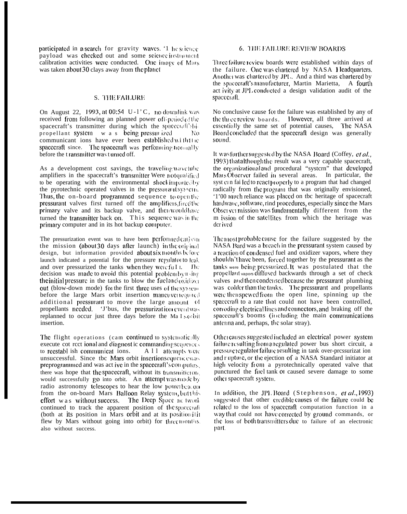participated in a search for gravity waves. '1 he science payload was checked out and some science instrument calibration activities were conducted. One image of Mars was taken about 30 clays away from the planet

## **S. THEFAILURE**

On August 22, 1993, at 00:54 U-1'C, no downlink was received from following an planned power of period of the spacecraft's transmitter during which the spacecraft'sbipropellant system w a s being pressurized No communicant ions have ever been established with the spacecraft since. The spacecraft was performing normally before the transmitter was turned off.

As a development cost savings, the traveling wavetabe amplifiers in the spacecraft's transmitter Were notqualified to be operating with the environmental shock imparted by the pyrotechnic operated valves in the pressurant system, Thus, the on-board programmed sequence to open the pressurant valves first turned off the amplifiers, fired the primary valve and its backup valve, and then would have turned the transmitter back on. This sequence was in the primary computer and in its hot backup computer.

The pressurization event was to have been performed carly in the mission (about 30 days after launch) in the original design, but information provided about six months before launch indicated a potential for the pressure regulator to leak and over pressurized the tanks when they were ful I. The decision was made to avoid this potential problem by  $\pi \sin \varrho$ the initial pressure in the tanks to blow the fuel and  $\omega_i$  dizer out (blow-down mode) for the first three uses of the system before the large Mars orbit insertion maneuverocquired additional pressurant to move the large amount of propellants needed. Thus, the pressurization eventwas replanned to occur just three days before the Ma I so bit insertion.

The flight operations (cam continued to systematically execute cot rect ional and diagnost ic commanding sequences to reestabl ish communicat ions. A 1.1 attempts were unsuccessful. Since the Mars orbit insertionsequences as preprogrammed and was act ive in the spacecraft's computers, there was hope that the spacecraft, without its transmitter on, would successfully go into orbit. An attempt was made by radio astronomy telescopes to hear the low powerbeacon from the on-board Mars Balloon Relay system, butthis effort was without success. The Deep Space no twork continued to track the apparent position of the spacecrafi (both at its position in Mars orbit and at its positionality flew by Mars without going into orbit) for three months. also without success.

## **6. THE FAILURE REVIEW BOARDS**

Three failure review boards were established within days of the failure. One was chartered by NASA Headquarters. Another was chartered by JPL. And a third was chartered by the spacecraft's manufacturer, Martin Marietta, A fourth act ivity at JPI conducted a design validation audit of the spacecraft.

No conclusive cause for the failure was established by any of the the e review boards. However, all three arrived at essentially the same set of potential causes, The NASA Board concluded that the spacecraft design was generally sound.

It was further suggested by the NASA Board (Coffey, et al., 1993) that although the result was a very capable spacecraft, the organizational and procedural "systern" that developed Mars Observer failed in several areas. In particular, the syst cin failed to react properly to a program that had changed radically from the program that was originally envisioned, '1'00 much reliance was placed on tbc heritage of spacecraft hardware, software, rind procedures, especially since the Mars Observernission was fundamentally different from the m ission of the satellites from which the heritage was der ived

The most probable cause for the failure suggested by the NASA Bard was a breach in the pressurant system caused by a reaction of condensed fuel and oxidizer vapors, where they shouldn't have been, forced together by the pressurant as the tanks were being pressurized. It was postulated that the propellant vapors diffused backwards through a set of check valves and then condensed because the pressurant plumbing was colder than the tanks. The pressurant and propellants were then spewed from the open line, spinning up the spacecraft to a rate that could not have been controlled, corroding electrical lines and connectors, and braking off the spacecraft's booms (including the main communications antenna and, perhaps, the solar stray).

Other causes suggested included an electrical power system failure resulting from a regulated power bus short circuit, a pressure regulator failure resulting in tank over-pressurizat ion and rupture, or the ejection of a NASA Standard initiator at high velocity from a pyrotechnically operated valve that punctured the fucl tank of caused severe damage to some other spacecraft system.

In addition, the JPL Board (Stephenson, et al., 1993) suggested that other credible causes of the failure could be related to the loss of spacecraft computation function in a way that could not have corrected by ground commands, or the loss of both transmitters due to failure of an electronic part.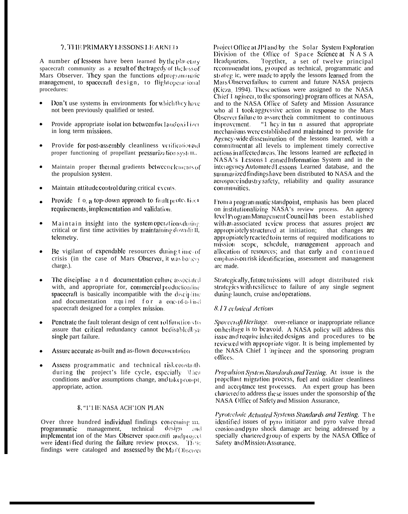## 7. THE PRIMARY LESSONS LE ARNED

A number of lessons have been learned by the planetary spacecraft community as a result of the tragedy of the loss of Mars Observer. They span the functions of programmatic management, to spacecraft design, to flightoperational procedures:

- Don't use systems in environments for which they have not been previously qualified or tested.
- Provide appropriate isolation between fucland oxilizer ė. in long term missions.
- Provide for post-assembly cleanliness verificationald  $\bullet$ proper functioning of propellant pressurizationsystem.
- Maintain proper thermal gradients between elements of  $\bullet$ the propulsion system.
- Maintain attitude control during critical events. ٠
- Provide f  $o_{nR}$  top-down approach to fault protection requirements, implementation and validation.
- ٠ Maintain insight into the system operations during critical or first time activities by maintaining downlin II, telemetry.
- Be vigilant of expendable resources during time of crisis (in the case of Mars Observer, it was ballery charge.).
- The discipline and documentation culture associated with, and appropriate for, commercial productionline spacecraft is basically incompatible with the discipline and documentation required for a one-of-a-lind spacecraft designed for a complex mission.
- Penetrate the fault tolerant design of cent rolfunctions to assure that critical redundancy cannot bedisabledbya single part failure.
- Assure accurate as-built and as-flown documentation
- Assess programmatic and technical risk constantly during the project's life cycle, especially \!hen conditions and/or assumptions change, and take prouple appropriate, action.

## 8. "1'1 IE NASA ACH'10N PLAN

Over three hundred individual findings concerning 111. design and programmatic management, technical implementat ion of the Mars Observer space.cnifi and project were ident i fied during the failure review process. These findings were cataloged and assessed by the Mar ()bscaver

Project Office at JPI and by the Solar System Exploration Division of the Office of Space Science at NASA Together, a set of twelve principal Headquarters. recommendations, grouped as technical, programmatic and strateg ic, were made to apply the lessons learned from the Mars Observer failure to current and future NASA projects (Kicza, 1994). These actions were assigned to the NASA Chief I ngineer, to the sponsoring) program offices at NASA, and to the NASA Office of Safety and Mission Assurance who al I took aggressive action in response to the Mars Observer failure to assure their commitment to continuous "1 hcy in turn assured that appropriate inquovement. mechanisms were established and maintained to provide for Agency-wide dissemination of the lessons learned, with a commitment at all levels to implement timely corrective actions in affected areas. The lessons learned are reflected in NASA's Lessons 1 carned Information System and in the interagency Automated Lessons Learned database, and the summarized findings have been distributed to NASA and the aerospace industry safety, reliability and quality assurance communities.

From a programmatic standpoint, emphasis has been placed on institutionalizing NASA's review process. An agency level Program Management Council has been established with an associated review process that assures project are appropriately structured at initiation; that changes are appropriately reacted to in terms of required modifications to mission scope, schedule, management approach and allocation of resources; and that early and continued emphasis on risk identification, assessment and management arc made.

Strategically, future missions will adopt distributed risk strategies with resilience to failure of any single segment during launch, cruise and operations.

## 8.17 echnical Actions

SpacecraftHeritage. over-reliance or inappropriate reliance on heritage is to be avoid. A NASA policy will address this issue and require inherited designs and procedures to be reviewed with appropriate vigor. It is being implemented by the NASA Chief 1 ingineer and the sponsoring program offices.

Propulsion System Standards and Testing. At issue is the propellant migration process, fuel and oxidizer cleanliness and acceptance test processes. An expert group has been chartered to address these issues under the sponsorship of the NASA Office of Safety and Mission Assurance,

**Pyrotechnic Actuated Systems Standards and Testing.** The identified issues of pyro initiator and pyro valve thread erosion and pyro shock damage arc being addressed by a specially chartered group of experts by the NASA Office of Safety and Mission Assurance.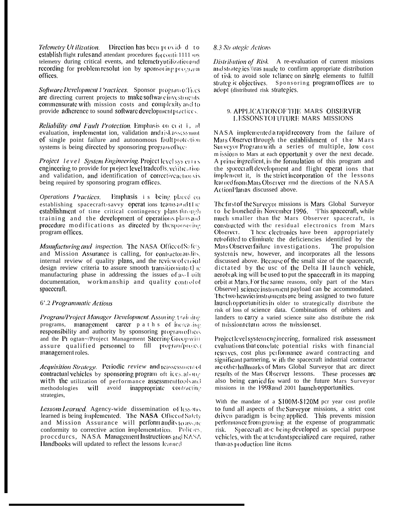Telemetry Ut ilization. Direction has been provided to establish flight rules and attendant procedures for continuations telemetry during critical events, and telemetryutilizationand recording for problem resolut ion by sponsoring program offices.

Software Development Practices. Sponsor program offices are directing current projects to make software investments commensurate with mission costs and complexity and to provide adherence to sound software development practices.

Reliability and Fault Protection. Emphasis on cent i, at evaluation, implementat ion, validation andriskassessment of single point failure and autonomous fault protection systems is being directed by sponsoring programoflices

Project level System Engineering. Project level sys et 1+s engineering to provide for preject level tradeofts, verification and validation, and identification of corrective actionsis being required by sponsoring program offices.

Emphasis i s being placed on Operations Practices. establishing spacecraft-savvy operations teams and the establishment of time critical contingency plans through training and the development of operations plans and procedure modifications as directed by the sponsoring program offices.

Manufacturing and inspection. The NASA Office of Safety and Mission Assurance is calling, for contractor audits, internal review of quality plans, and the review of critical design review criteria to assure smooth transition into t}  $\alpha$ manufacturing phase in addressing the issues of as I wilt documentation, workmanship and quality control of spacecraft.

# 6'.2 Programmatic Actions

Program/Project Manager Development. Assuring training programs, management career p a t h s of increasing responsibility and authority by sponsoring programofices and the Pt ogtan~/Project Management Steering Group with assure qualified personnel to fill program/project management roles.

*Acquisition Strategy*. Periodic review and reassessment of contractual vehicles by sponsoring program oft ices along with the utilization of performance assessmenttools and will avoid inappropriate contracting methodologies strategies,

Lessons Learned. Agency-wide dissemination of lessons learned is being implemented. The NASA Office of Safety and Mission Assurance will perform audits to assure conformity to corrective action implementation. Policies, procedures, NASA Management Instructions and NASA Handbooks will updated to reflect the lessons learned

# 8.3 Str ategic Actions

Distribution of Risk A re-evaluation of current missions and strategies \\ras made to confirm appropriate distribution of tisk to avoid sole reliance on single elements to fulfill strategic objectives. Sponsoring program offices are to adopt (distributed risk strategies,

### 9. APPLICATION OF THE MARS OBSERVER LESSONSTOFUTURE MARS MISSIONS

NASA implemented a rapid recovery from the failure of Mats Observet through the establishment of the Mars Surveyor Program with a series of multiple, low cost m issions to Mars at each opportunit y over the next decade. A prime ingredient, in the formulation of this program and the spacecraft development and flight operat ions that implement it, is the strict incorporation of the lessons leating from Mars Observer rmd the directions of the NASA ActionPlanas discussed above.

The first of the Surveyor missions is Mars Global Surveyor to be launched in November 1996. This spacecraft, while much smaller than the Mars Observer spacecraft, is constructed with the residual electronics from Mars Observer. These electronics have been appropriately retrofitted to eliminate the deficiencies identified by the Mats Observer failure investigations. The propulsion system is new, however, and incorporates all the lessons discussed above. Because of the small size of the spacecraft, dictated by the usc of the Delta II launch vehicle. aerobiak ing will be used to put the spacecraft in its mapping orbit at Mars. For the same reasons, only part of the Mars Observel science instrument payload can be accommodated. The two heavierinstruments are being assigned to two future launch opportunities in older to strategically distribute the risk of loss of science data. Combinations of orbiters and landers to carry a varied science suite also distribute the risk of mission tetuto across the mission set.

Projectlevelsystem engineering, formalized risk assessment evaluations that conclate potential risks with financial reserves, cost plus performance award contracting and significant partnering, w ith the spacecraft industrial contractor are other hallmarks of Mars-Global Surveyor that arc-direct results of the Mars Observer lessons. These processes are also being carried for ward to the future Mars Surveyor missions in the 1998 and 2001 launch opportunities.

With the mandate of a \$100M-\$120M pcr year cost profile to fund all aspects of the Surveyor missions, a strict cost driven paradigm is being applied. This prevents mission performance from growing at the expense of programmatic Spacecraft at-c being developed as special purpose risk. vehicles, with the at tendant specialized care required, rather than as production line items.